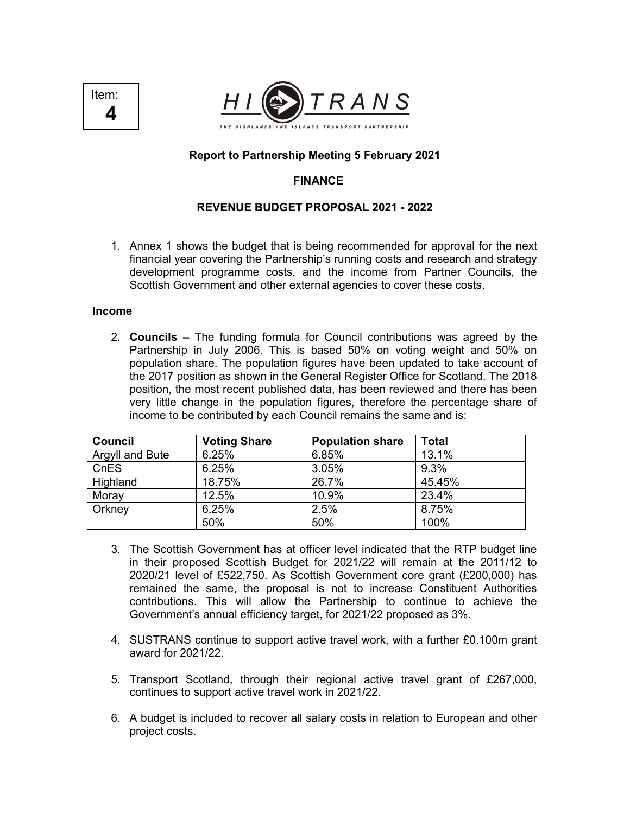



## **Report to Partnership Meeting 5 February 2021**

## **FINANCE**

### **REVENUE BUDGET PROPOSAL 2021 - 2022**

1. Annex 1 shows the budget that is being recommended for approval for the next financial year covering the Partnership's running costs and research and strategy development programme costs, and the income from Partner Councils, the Scottish Government and other external agencies to cover these costs.

#### **Income**

2. **Councils –** The funding formula for Council contributions was agreed by the Partnership in July 2006. This is based 50% on voting weight and 50% on population share. The population figures have been updated to take account of the 2017 position as shown in the General Register Office for Scotland. The 2018 position, the most recent published data, has been reviewed and there has been very little change in the population figures, therefore the percentage share of income to be contributed by each Council remains the same and is:

| <b>Council</b>  | <b>Voting Share</b> | <b>Population share</b> | Total  |
|-----------------|---------------------|-------------------------|--------|
| Argyll and Bute | 6.25%               | 6.85%                   | 13.1%  |
| CnES            | 6.25%               | 3.05%                   | 9.3%   |
| Highland        | 18.75%              | 26.7%                   | 45.45% |
| Moray           | 12.5%               | 10.9%                   | 23.4%  |
| Orkney          | 6.25%               | 2.5%                    | 8.75%  |
|                 | 50%                 | 50%                     | 100%   |

- 3. The Scottish Government has at officer level indicated that the RTP budget line in their proposed Scottish Budget for 2021/22 will remain at the 2011/12 to 2020/21 level of £522,750. As Scottish Government core grant (£200,000) has remained the same, the proposal is not to increase Constituent Authorities contributions. This will allow the Partnership to continue to achieve the Government's annual efficiency target, for 2021/22 proposed as 3%.
- 4. SUSTRANS continue to support active travel work, with a further £0.100m grant award for 2021/22.
- 5. Transport Scotland, through their regional active travel grant of £267,000, continues to support active travel work in 2021/22.
- 6. A budget is included to recover all salary costs in relation to European and other project costs.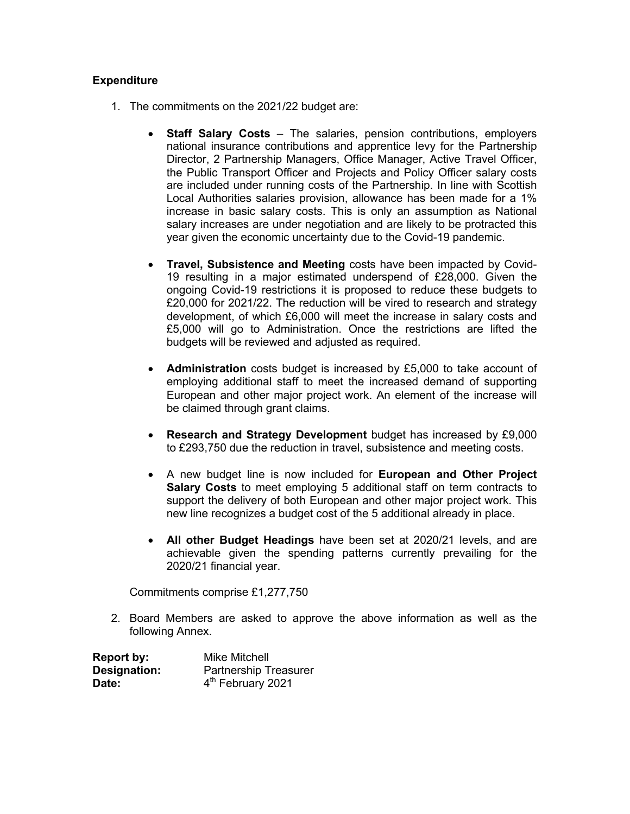## **Expenditure**

- 1. The commitments on the 2021/22 budget are:
	- **Staff Salary Costs** The salaries, pension contributions, employers national insurance contributions and apprentice levy for the Partnership Director, 2 Partnership Managers, Office Manager, Active Travel Officer, the Public Transport Officer and Projects and Policy Officer salary costs are included under running costs of the Partnership. In line with Scottish Local Authorities salaries provision, allowance has been made for a 1% increase in basic salary costs. This is only an assumption as National salary increases are under negotiation and are likely to be protracted this year given the economic uncertainty due to the Covid-19 pandemic.
	- **Travel, Subsistence and Meeting** costs have been impacted by Covid-19 resulting in a major estimated underspend of £28,000. Given the ongoing Covid-19 restrictions it is proposed to reduce these budgets to £20,000 for 2021/22. The reduction will be vired to research and strategy development, of which £6,000 will meet the increase in salary costs and £5,000 will go to Administration. Once the restrictions are lifted the budgets will be reviewed and adjusted as required.
	- **Administration** costs budget is increased by £5,000 to take account of employing additional staff to meet the increased demand of supporting European and other major project work. An element of the increase will be claimed through grant claims.
	- **Research and Strategy Development** budget has increased by £9,000 to £293,750 due the reduction in travel, subsistence and meeting costs.
	- A new budget line is now included for **European and Other Project Salary Costs** to meet employing 5 additional staff on term contracts to support the delivery of both European and other major project work. This new line recognizes a budget cost of the 5 additional already in place.
	- **All other Budget Headings** have been set at 2020/21 levels, and are achievable given the spending patterns currently prevailing for the 2020/21 financial year.

Commitments comprise £1,277,750

2. Board Members are asked to approve the above information as well as the following Annex.

| <b>Report by:</b> | <b>Mike Mitchell</b>          |  |
|-------------------|-------------------------------|--|
| Designation:      | <b>Partnership Treasurer</b>  |  |
| Date:             | 4 <sup>th</sup> February 2021 |  |